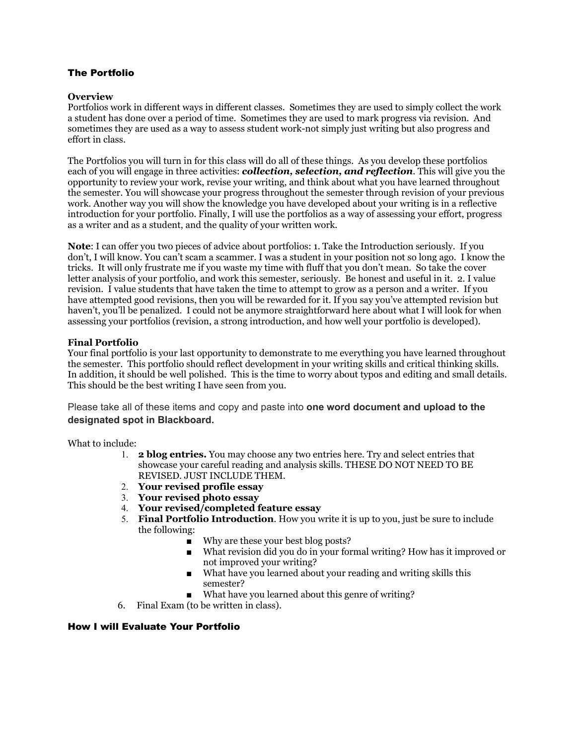### The Portfolio

#### **Overview**

Portfolios work in different ways in different classes. Sometimes they are used to simply collect the work a student has done over a period of time. Sometimes they are used to mark progress via revision. And sometimes they are used as a way to assess student work-not simply just writing but also progress and effort in class.

The Portfolios you will turn in for this class will do all of these things. As you develop these portfolios each of you will engage in three activities: *collection, selection, and reflection*. This will give you the opportunity to review your work, revise your writing, and think about what you have learned throughout the semester. You will showcase your progress throughout the semester through revision of your previous work. Another way you will show the knowledge you have developed about your writing is in a reflective introduction for your portfolio. Finally, I will use the portfolios as a way of assessing your effort, progress as a writer and as a student, and the quality of your written work.

**Note**: I can offer you two pieces of advice about portfolios: 1. Take the Introduction seriously. If you don't, I will know. You can't scam a scammer. I was a student in your position not so long ago. I know the tricks. It will only frustrate me if you waste my time with fluff that you don't mean. So take the cover letter analysis of your portfolio, and work this semester, seriously. Be honest and useful in it. 2. I value revision. I value students that have taken the time to attempt to grow as a person and a writer. If you have attempted good revisions, then you will be rewarded for it. If you say you've attempted revision but haven't, you'll be penalized. I could not be anymore straightforward here about what I will look for when assessing your portfolios (revision, a strong introduction, and how well your portfolio is developed).

### **Final Portfolio**

Your final portfolio is your last opportunity to demonstrate to me everything you have learned throughout the semester. This portfolio should reflect development in your writing skills and critical thinking skills. In addition, it should be well polished. This is the time to worry about typos and editing and small details. This should be the best writing I have seen from you.

Please take all of these items and copy and paste into **one word document and upload to the designated spot in Blackboard.**

What to include:

- 1. **2 blog entries.** You may choose any two entries here. Try and select entries that showcase your careful reading and analysis skills. THESE DO NOT NEED TO BE REVISED. JUST INCLUDE THEM.
- 2. **Your revised profile essay**
- 3. **Your revised photo essay**
- 4. **Your revised/completed feature essay**
- 5. **Final Portfolio Introduction**. How you write it is up to you, just be sure to include the following:
	- Why are these your best blog posts?
	- What revision did you do in your formal writing? How has it improved or not improved your writing?
	- What have you learned about your reading and writing skills this semester?
	- What have you learned about this genre of writing?
- 6. Final Exam (to be written in class).

### How I will Evaluate Your Portfolio